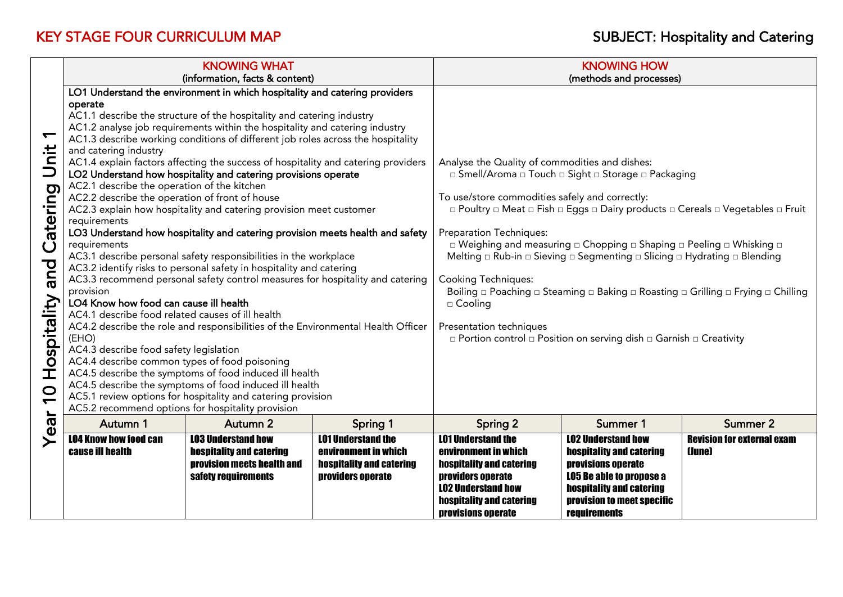|                                                                                           |                                                                                                                                                                                                                                                                                                                                                                                                                                                                                                                                                                                                                                                                                                                                                                                                                                                                                                                                                                                                                                                                                                                                                                                                                                                                                                                                                                                                   | <b>KNOWING WHAT</b>                                                                                        |                                                                                                           |                                                                                                                                                                                                                                                                                                                                                                                                                                                                                                                                                                                                                                                                                                                                                               | <b>KNOWING HOW</b>                                                                                                                                                                       |                                             |  |
|-------------------------------------------------------------------------------------------|---------------------------------------------------------------------------------------------------------------------------------------------------------------------------------------------------------------------------------------------------------------------------------------------------------------------------------------------------------------------------------------------------------------------------------------------------------------------------------------------------------------------------------------------------------------------------------------------------------------------------------------------------------------------------------------------------------------------------------------------------------------------------------------------------------------------------------------------------------------------------------------------------------------------------------------------------------------------------------------------------------------------------------------------------------------------------------------------------------------------------------------------------------------------------------------------------------------------------------------------------------------------------------------------------------------------------------------------------------------------------------------------------|------------------------------------------------------------------------------------------------------------|-----------------------------------------------------------------------------------------------------------|---------------------------------------------------------------------------------------------------------------------------------------------------------------------------------------------------------------------------------------------------------------------------------------------------------------------------------------------------------------------------------------------------------------------------------------------------------------------------------------------------------------------------------------------------------------------------------------------------------------------------------------------------------------------------------------------------------------------------------------------------------------|------------------------------------------------------------------------------------------------------------------------------------------------------------------------------------------|---------------------------------------------|--|
|                                                                                           | (information, facts & content)                                                                                                                                                                                                                                                                                                                                                                                                                                                                                                                                                                                                                                                                                                                                                                                                                                                                                                                                                                                                                                                                                                                                                                                                                                                                                                                                                                    |                                                                                                            |                                                                                                           | (methods and processes)                                                                                                                                                                                                                                                                                                                                                                                                                                                                                                                                                                                                                                                                                                                                       |                                                                                                                                                                                          |                                             |  |
| $\blacktriangledown$<br>Unit<br>Catering<br>pue<br>Hospitality<br>$\overline{\mathbf{C}}$ | LO1 Understand the environment in which hospitality and catering providers<br>operate<br>AC1.1 describe the structure of the hospitality and catering industry<br>AC1.2 analyse job requirements within the hospitality and catering industry<br>AC1.3 describe working conditions of different job roles across the hospitality<br>and catering industry<br>AC1.4 explain factors affecting the success of hospitality and catering providers<br>LO2 Understand how hospitality and catering provisions operate<br>AC2.1 describe the operation of the kitchen<br>AC2.2 describe the operation of front of house<br>AC2.3 explain how hospitality and catering provision meet customer<br>requirements<br>LO3 Understand how hospitality and catering provision meets health and safety<br>requirements<br>AC3.1 describe personal safety responsibilities in the workplace<br>AC3.2 identify risks to personal safety in hospitality and catering<br>AC3.3 recommend personal safety control measures for hospitality and catering<br>provision<br>LO4 Know how food can cause ill health<br>AC4.1 describe food related causes of ill health<br>AC4.2 describe the role and responsibilities of the Environmental Health Officer<br>(EHO)<br>AC4.3 describe food safety legislation<br>AC4.4 describe common types of food poisoning<br>AC4.5 describe the symptoms of food induced ill health |                                                                                                            |                                                                                                           | Analyse the Quality of commodities and dishes:<br>□ Smell/Aroma □ Touch □ Sight □ Storage □ Packaging<br>To use/store commodities safely and correctly:<br>□ Poultry □ Meat □ Fish □ Eggs □ Dairy products □ Cereals □ Vegetables □ Fruit<br><b>Preparation Techniques:</b><br>□ Weighing and measuring □ Chopping □ Shaping □ Peeling □ Whisking □<br>Melting $\Box$ Rub-in $\Box$ Sieving $\Box$ Segmenting $\Box$ Slicing $\Box$ Hydrating $\Box$ Blending<br><b>Cooking Techniques:</b><br>Boiling $\Box$ Poaching $\Box$ Steaming $\Box$ Baking $\Box$ Roasting $\Box$ Grilling $\Box$ Frying $\Box$ Chilling<br>$\square$ Cooling<br>Presentation techniques<br>$\Box$ Portion control $\Box$ Position on serving dish $\Box$ Garnish $\Box$ Creativity |                                                                                                                                                                                          |                                             |  |
|                                                                                           | AC5.2 recommend options for hospitality provision                                                                                                                                                                                                                                                                                                                                                                                                                                                                                                                                                                                                                                                                                                                                                                                                                                                                                                                                                                                                                                                                                                                                                                                                                                                                                                                                                 | AC5.1 review options for hospitality and catering provision                                                |                                                                                                           |                                                                                                                                                                                                                                                                                                                                                                                                                                                                                                                                                                                                                                                                                                                                                               |                                                                                                                                                                                          |                                             |  |
| Year                                                                                      | Autumn 1                                                                                                                                                                                                                                                                                                                                                                                                                                                                                                                                                                                                                                                                                                                                                                                                                                                                                                                                                                                                                                                                                                                                                                                                                                                                                                                                                                                          | Autumn 2                                                                                                   | <b>Spring 1</b>                                                                                           | <b>Spring 2</b>                                                                                                                                                                                                                                                                                                                                                                                                                                                                                                                                                                                                                                                                                                                                               | Summer 1                                                                                                                                                                                 | <b>Summer 2</b>                             |  |
|                                                                                           | <b>LO4 Know how food can</b><br><b>cause ill health</b>                                                                                                                                                                                                                                                                                                                                                                                                                                                                                                                                                                                                                                                                                                                                                                                                                                                                                                                                                                                                                                                                                                                                                                                                                                                                                                                                           | <b>LO3 Understand how</b><br>hospitality and catering<br>provision meets health and<br>safety requirements | <b>LO1 Understand the</b><br>environment in which<br><b>hospitality and catering</b><br>providers operate | <b>LO1 Understand the</b><br>environment in which<br><b>hospitality and catering</b><br>providers operate<br><b>LO2 Understand how</b><br>hospitality and catering<br>provisions operate                                                                                                                                                                                                                                                                                                                                                                                                                                                                                                                                                                      | <b>LO2 Understand how</b><br>hospitality and catering<br>provisions operate<br><b>LO5 Be able to propose a</b><br>hospitality and catering<br>provision to meet specific<br>requirements | <b>Revision for external exam</b><br>(June) |  |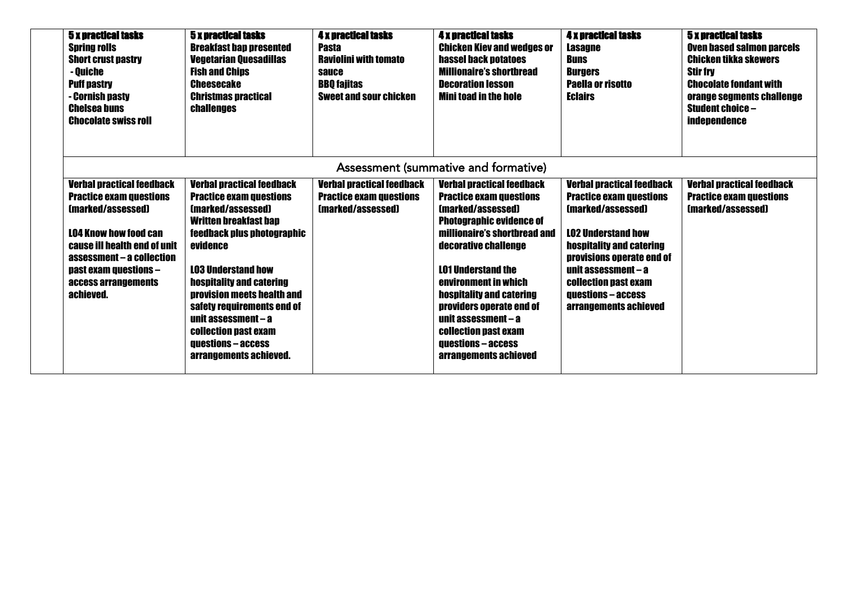| <b>5 x practical tasks</b><br><b>Spring rolls</b><br><b>Short crust pastry</b><br>- Quiche<br><b>Puff pastry</b><br>- Cornish pasty<br><b>Chelsea buns</b><br><b>Chocolate swiss roll</b>                                                         | <b>5 x practical tasks</b><br><b>Breakfast ban presented</b><br><b>Vegetarian Quesadillas</b><br><b>Fish and Chips</b><br><b>Cheesecake</b><br><b>Christmas practical</b><br><b>challenges</b>                                                                                                                                                                                                             | <b>4 x practical tasks</b><br><b>Pasta</b><br><b>Raviolini with tomato</b><br>sauce<br><b>BBO</b> fajitas<br><b>Sweet and sour chicken</b> | <b>4 x practical tasks</b><br><b>Chicken Kiev and wedges or</b><br>hassel back potatoes<br><b>Millionaire's shortbread</b><br><b>Decoration lesson</b><br><b>Mini toad in the hole</b>                                                                                                                                                                                                                                    | <b>4 x practical tasks</b><br><b>Lasagne</b><br><b>Buns</b><br><b>Burgers</b><br><b>Paella or risotto</b><br><b>Eclairs</b>                                                                                                                                                        | <b>5 x practical tasks</b><br><b>Oven based salmon parcels</b><br>Chicken tikka skewers<br><b>Stir fry</b><br><b>Chocolate fondant with</b><br>orange segments challenge<br><b>Student choice -</b><br><b>independence</b> |  |  |  |
|---------------------------------------------------------------------------------------------------------------------------------------------------------------------------------------------------------------------------------------------------|------------------------------------------------------------------------------------------------------------------------------------------------------------------------------------------------------------------------------------------------------------------------------------------------------------------------------------------------------------------------------------------------------------|--------------------------------------------------------------------------------------------------------------------------------------------|---------------------------------------------------------------------------------------------------------------------------------------------------------------------------------------------------------------------------------------------------------------------------------------------------------------------------------------------------------------------------------------------------------------------------|------------------------------------------------------------------------------------------------------------------------------------------------------------------------------------------------------------------------------------------------------------------------------------|----------------------------------------------------------------------------------------------------------------------------------------------------------------------------------------------------------------------------|--|--|--|
|                                                                                                                                                                                                                                                   | Assessment (summative and formative)                                                                                                                                                                                                                                                                                                                                                                       |                                                                                                                                            |                                                                                                                                                                                                                                                                                                                                                                                                                           |                                                                                                                                                                                                                                                                                    |                                                                                                                                                                                                                            |  |  |  |
| <b>Verbal practical feedback</b><br><b>Practice exam questions</b><br>(marked/assessed)<br><b>LO4 Know how food can</b><br>cause ill health end of unit<br>assessment - a collection<br>past exam questions -<br>access arrangements<br>achieved. | <b>Verbal practical feedback</b><br><b>Practice exam questions</b><br>(marked/assessed)<br><b>Written breakfast bap</b><br>feedback plus photographic<br>evidence<br><b>LO3 Understand how</b><br><b>hospitality and catering</b><br><b>provision meets health and</b><br>safety requirements end of<br>unit assessment - a<br>collection past exam<br><b>auestions - access</b><br>arrangements achieved. | <b>Verbal practical feedback</b><br><b>Practice exam questions</b><br>(marked/assessed)                                                    | <b>Verbal practical feedback</b><br><b>Practice exam questions</b><br>(marked/assessed)<br><b>Photographic evidence of</b><br>millionaire's shortbread and<br>decorative challenge<br><b>LO1 Understand the</b><br>environment in which<br><b>hospitality and catering</b><br><b>providers operate end of</b><br>unit assessment – a<br><b>collection past exam</b><br><b>questions - access</b><br>arrangements achieved | <b>Verbal practical feedback</b><br><b>Practice exam questions</b><br>(marked/assessed)<br><b>LO2 Understand how</b><br>hospitality and catering<br>provisions operate end of<br>unit assessment - a<br>collection past exam<br><b>auestions - access</b><br>arrangements achieved | <b>Verbal practical feedback</b><br><b>Practice exam questions</b><br>(marked/assessed)                                                                                                                                    |  |  |  |